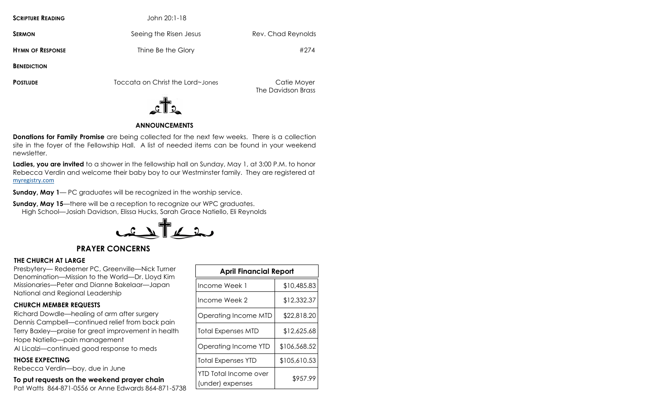**SCRIPTURE READING** John 20:1-18 **SERMON** Seeing the Risen Jesus Rev. Chad Reynolds **HYMN OF RESPONSE** Thine Be the Glory **Fig. 274 HYMN OF RESPONSE BENEDICTION**

**POSTLUDE** Toccata on Christ the Lord~Jones Catie Moyer

The Davidson Brass



## **ANNOUNCEMENTS**

**Donations for Family Promise** are being collected for the next few weeks. There is a collection site in the foyer of the Fellowship Hall. A list of needed items can be found in your weekend newsletter.

**Ladies, you are invited** to a shower in the fellowship hall on Sunday, May 1, at 3:00 P.M. to honor Rebecca Verdin and welcome their baby boy to our Westminster family. They are registered at [myregistry.com](http://myregistry.com)

**Sunday, May 1**— PC graduates will be recognized in the worship service.

**Sunday, May 15—there will be a reception to recognize our WPC graduates.** High School—Josiah Davidson, Elissa Hucks, Sarah Grace Natiello, Eli Reynolds



## **PRAYER CONCERNS**

#### **THE CHURCH AT LARGE**

Presbytery— Redeemer PC, Greenville—Nick Turner Denomination—Mission to the World—Dr. Lloyd Kim Missionaries—Peter and Dianne Bakelaar—Japan National and Regional Leadership

#### **CHURCH MEMBER REQUESTS**

Richard Dowdle—healing of arm after surgery Dennis Campbell—continued relief from back pain Terry Baxley—praise for great improvement in health Hope Natiello—pain management Al Licalzi—continued good response to meds

#### **THOSE EXPECTING**

Rebecca Verdin—boy, due in June

#### **To put requests on the weekend prayer chain**

Pat Watts 864-871-0556 or Anne Edwards 864-871-5738

| <b>April Financial Report</b>             |              |
|-------------------------------------------|--------------|
| Income Week 1                             | \$10,485.83  |
| Income Week 2                             | \$12,332.37  |
| Operating Income MTD                      | \$22,818.20  |
| <b>Total Expenses MTD</b>                 | \$12,625.68  |
| Operating Income YTD                      | \$106,568.52 |
| <b>Total Expenses YTD</b>                 | \$105,610.53 |
| YTD Total Income over<br>(under) expenses | \$957.99     |